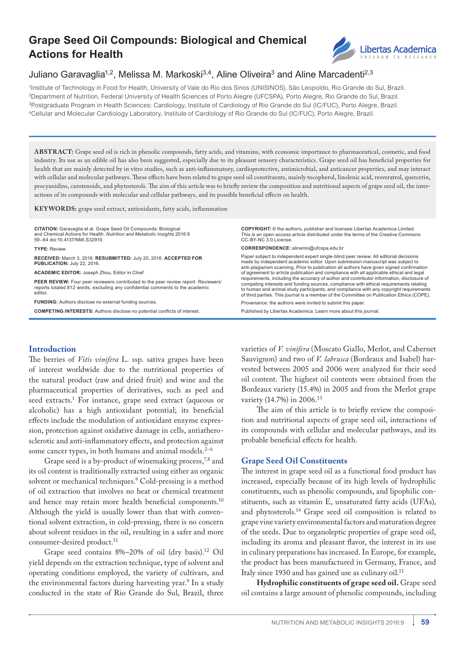# **Grape Seed Oil Compounds: Biological and Chemical Actions for Health**



# Juliano Garavaglia<sup>1,2</sup>, Melissa M. Markoski<sup>3,4</sup>, Aline Oliveira<sup>3</sup> and Aline Marcadenti<sup>2,3</sup>

1Institute of Technology in Food for Health, University of Vale do Rio dos Sinos (UNISINOS), São Leopoldo, Rio Grande do Sul, Brazil. 2Department of Nutrition, Federal University of Health Sciences of Porto Alegre (UFCSPA), Porto Alegre, Rio Grande do Sul, Brazil. 3Postgraduate Program in Health Sciences: Cardiology, Institute of Cardiology of Rio Grande do Sul (IC/FUC), Porto Alegre, Brazil. 4Cellular and Molecular Cardiology Laboratory, Institute of Cardiology of Rio Grande do Sul (IC/FUC), Porto Alegre, Brazil.

**ABSTR ACT:** Grape seed oil is rich in phenolic compounds, fatty acids, and vitamins, with economic importance to pharmaceutical, cosmetic, and food industry. Its use as an edible oil has also been suggested, especially due to its pleasant sensory characteristics. Grape seed oil has beneficial properties for health that are mainly detected by in vitro studies, such as anti-inflammatory, cardioprotective, antimicrobial, and anticancer properties, and may interact with cellular and molecular pathways. These effects have been related to grape seed oil constituents, mainly tocopherol, linolenic acid, resveratrol, quercetin, procyanidins, carotenoids, and phytosterols. The aim of this article was to briefly review the composition and nutritional aspects of grape seed oil, the interactions of its compounds with molecular and cellular pathways, and its possible beneficial effects on health.

**KEY WORDS:** grape seed extract, antioxidants, fatty acids, inflammation

**CITATION:** Garavaglia et al. Grape Seed Oil Compounds: Biological and Chemical Actions for Health. *Nutrition and Metabolic Insights* 2016:9 59–64 doi:10.4137/NMI.S32910.

**TYPE:** Review

**RECEIVED:** March 3, 2016. **RESUBMITTED:** July 20, 2016. **ACCEPTED FOR PUBLICATION:** July 22, 2016.

**ACADEMIC EDITOR:** Joseph Zhou, Editor in Chief

**PEER REVIEW:** Four peer reviewers contributed to the peer review report. Reviewers' reports totaled 812 words, excluding any confidential comments to the academic editor.

**FUNDING:** Authors disclose no external funding sources.

**COMPETING INTERESTS:** Authors disclose no potential conflicts of interest.

**Introduction**

The berries of *Vitis vinifera* L. ssp. sativa grapes have been of interest worldwide due to the nutritional properties of the natural product (raw and dried fruit) and wine and the pharmaceutical properties of derivatives, such as peel and seed extracts.1 For instance, grape seed extract (aqueous or alcoholic) has a high antioxidant potential; its beneficial effects include the modulation of antioxidant enzyme expression, protection against oxidative damage in cells, antiatherosclerotic and anti-inflammatory effects, and protection against some cancer types, in both humans and animal models. $2^{-6}$ 

Grape seed is a by-product of winemaking process,<sup>7,8</sup> and its oil content is traditionally extracted using either an organic solvent or mechanical techniques.9 Cold-pressing is a method of oil extraction that involves no heat or chemical treatment and hence may retain more health beneficial components.10 Although the yield is usually lower than that with conventional solvent extraction, in cold-pressing, there is no concern about solvent residues in the oil, resulting in a safer and more consumer-desired product.<sup>11</sup>

Grape seed contains 8%–20% of oil (dry basis).12 Oil yield depends on the extraction technique, type of solvent and operating conditions employed, the variety of cultivars, and the environmental factors during harvesting year.<sup>9</sup> In a study conducted in the state of Rio Grande do Sul, Brazil, three

**COPYRIGHT:** © the authors, publisher and licensee Libertas Academica Limited. This is an open-access article distributed under the terms of the Creative Commons CC-BY-NC 3.0 License.

**CORRESPONDENCE:** alinemo@ufcspa.edu.br

Paper subject to independent expert single-blind peer review. All editorial decisions made by independent academic editor. Upon submission manuscript was subject to anti-plagiarism scanning. Prior to publication all authors have given signed confirmation of agreement to article publication and compliance with all applicable ethical and legal requirements, including the accuracy of author and contributor information, disclosure of competing interests and funding sources, compliance with ethical requirements relating to human and animal study participants, and compliance with any copyright requirements of third parties. This journal is a member of the Committee on Publication Ethics (COPE).

Provenance: the authors were invited to submit this paper.

Published by Libertas Academica. Learn more about this journal.

varieties of *V. vinifera* (Moscato Giallo, Merlot, and Cabernet Sauvignon) and two of *V. labrusca* (Bordeaux and Isabel) harvested between 2005 and 2006 were analyzed for their seed oil content. The highest oil contents were obtained from the Bordeaux variety (15.4%) in 2005 and from the Merlot grape variety (14.7%) in 2006.<sup>13</sup>

The aim of this article is to briefly review the composition and nutritional aspects of grape seed oil, interactions of its compounds with cellular and molecular pathways, and its probable beneficial effects for health.

## **Grape Seed Oil Constituents**

The interest in grape seed oil as a functional food product has increased, especially because of its high levels of hydrophilic constituents, such as phenolic compounds, and lipophilic constituents, such as vitamin E, unsaturated fatty acids (UFAs), and phytosterols.14 Grape seed oil composition is related to grape vine variety environmental factors and maturation degree of the seeds. Due to organoleptic properties of grape seed oil, including its aroma and pleasant flavor, the interest in its use in culinary preparations has increased. In Europe, for example, the product has been manufactured in Germany, France, and Italy since 1930 and has gained use as culinary oil.<sup>11</sup>

**Hydrophilic constituents of grape seed oil.** Grape seed oil contains a large amount of phenolic compounds, including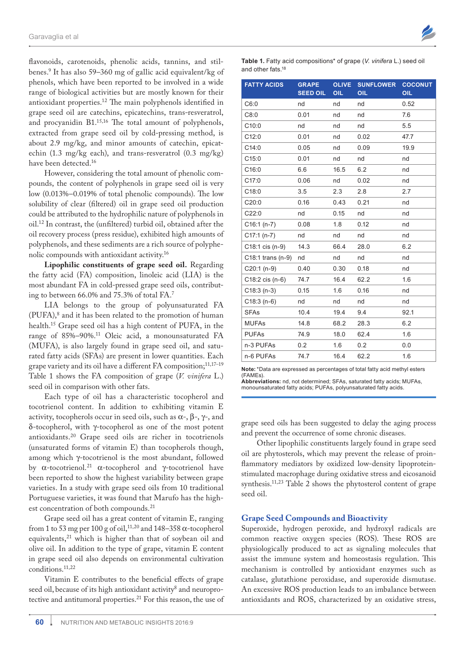flavonoids, carotenoids, phenolic acids, tannins, and stilbenes.9 It has also 59–360 mg of gallic acid equivalent/kg of phenols, which have been reported to be involved in a wide range of biological activities but are mostly known for their antioxidant properties.12 The main polyphenols identified in grape seed oil are catechins, epicatechins, trans-resveratrol, and procyanidin B1.15,16 The total amount of polyphenols, extracted from grape seed oil by cold-pressing method, is about 2.9 mg/kg, and minor amounts of catechin, epicatechin (1.3 mg/kg each), and trans-resveratrol (0.3 mg/kg) have been detected.16

However, considering the total amount of phenolic compounds, the content of polyphenols in grape seed oil is very low (0.013%–0.019% of total phenolic compounds). The low solubility of clear (filtered) oil in grape seed oil production could be attributed to the hydrophilic nature of polyphenols in oil.12 In contrast, the (unfiltered) turbid oil, obtained after the oil recovery process (press residue), exhibited high amounts of polyphenols, and these sediments are a rich source of polyphenolic compounds with antioxidant activity.16

**Lipophilic constituents of grape seed oil.** Regarding the fatty acid (FA) composition, linoleic acid (LIA) is the most abundant FA in cold-pressed grape seed oils, contributing to between 66.0% and 75.3% of total FA.7

LIA belongs to the group of polyunsaturated FA (PUFA),<sup>8</sup> and it has been related to the promotion of human health.15 Grape seed oil has a high content of PUFA, in the range of 85%–90%.11 Oleic acid, a monounsaturated FA (MUFA), is also largely found in grape seed oil, and saturated fatty acids (SFAs) are present in lower quantities. Each grape variety and its oil have a different FA composition;<sup>11,17-19</sup> Table 1 shows the FA composition of grape (*V. vinifera* L.) seed oil in comparison with other fats.

Each type of oil has a characteristic tocopherol and tocotrienol content. In addition to exhibiting vitamin E activity, tocopherols occur in seed oils, such as  $\alpha$ -,  $\beta$ -,  $\gamma$ -, and δ-tocopherol, with γ-tocopherol as one of the most potent antioxidants.20 Grape seed oils are richer in tocotrienols (unsaturated forms of vitamin E) than tocopherols though, among which γ-tocotrienol is the most abundant, followed by  $\alpha$ -tocotrienol.<sup>21</sup>  $\alpha$ -tocopherol and γ-tocotrienol have been reported to show the highest variability between grape varieties. In a study with grape seed oils from 10 traditional Portuguese varieties, it was found that Marufo has the highest concentration of both compounds.<sup>21</sup>

Grape seed oil has a great content of vitamin E, ranging from 1 to 53 mg per 100 g of oil,<sup>11,20</sup> and 148–358  $\alpha$ -tocopherol equivalents,<sup>21</sup> which is higher than that of soybean oil and olive oil. In addition to the type of grape, vitamin E content in grape seed oil also depends on environmental cultivation conditions.11,22

Vitamin E contributes to the beneficial effects of grape seed oil, because of its high antioxidant activity<sup>8</sup> and neuroprotective and antitumoral properties.<sup>21</sup> For this reason, the use of



**Table 1.** Fatty acid compositions\* of grape (*V. vinifera* L.) seed oil and other fats.18

| <b>FATTY ACIDS</b>  | <b>GRAPE</b><br><b>SEED OIL</b> | <b>OLIVE</b><br>OIL | <b>SUNFLOWER</b><br>OIL | <b>COCONUT</b><br>OIL |
|---------------------|---------------------------------|---------------------|-------------------------|-----------------------|
| C6:0                | nd                              | nd                  | nd                      | 0.52                  |
| C8:0                | 0.01                            | nd                  | nd                      | 7.6                   |
| C10:0               | nd                              | nd                  | nd                      | 5.5                   |
| C12:0               | 0.01                            | nd                  | 0.02                    | 47.7                  |
| C14:0               | 0.05                            | nd                  | 0.09                    | 19.9                  |
| C15:0               | 0.01                            | nd                  | nd                      | nd                    |
| C16:0               | 6.6                             | 16.5                | 6.2                     | nd                    |
| C17:0               | 0.06                            | nd                  | 0.02                    | nd                    |
| C18:0               | 3.5                             | 2.3                 | 2.8                     | 2.7                   |
| C20:0               | 0.16                            | 0.43                | 0.21                    | nd                    |
| C22:0               | nd                              | 0.15                | nd                      | nd                    |
| $C16:1(n-7)$        | 0.08                            | 1.8                 | 0.12                    | nd                    |
| C17:1 (n-7)         | nd                              | nd                  | nd                      | nd                    |
| C18:1 cis (n-9)     | 14.3                            | 66.4                | 28.0                    | 6.2                   |
| $C18:1$ trans (n-9) | nd                              | nd                  | nd                      | nd                    |
| $C20:1(n-9)$        | 0.40                            | 0.30                | 0.18                    | nd                    |
| $C18:2$ cis $(n-6)$ | 74.7                            | 16.4                | 62.2                    | 1.6                   |
| $C18:3(n-3)$        | 0.15                            | 1.6                 | 0.16                    | nd                    |
| $C18:3(n-6)$        | nd                              | nd                  | nd                      | nd                    |
| <b>SFAs</b>         | 10.4                            | 19.4                | 9.4                     | 92.1                  |
| <b>MUFAs</b>        | 14.8                            | 68.2                | 28.3                    | 6.2                   |
| <b>PUFAs</b>        | 74.9                            | 18.0                | 62.4                    | 1.6                   |
| n-3 PUFAs           | 0.2                             | 1.6                 | 0.2                     | 0.0                   |
| n-6 PUFAs           | 74.7                            | 16.4                | 62.2                    | 1.6                   |

**Note:**\*Data are expressed as percentages of total fatty acid methyl esters (FAMEs).

**Abbreviations:** nd, not determined; SFAs, saturated fatty acids; MUFAs, monounsaturated fatty acids; PUFAs, polyunsaturated fatty acids.

grape seed oils has been suggested to delay the aging process and prevent the occurrence of some chronic diseases.

Other lipophilic constituents largely found in grape seed oil are phytosterols, which may prevent the release of proinflammatory mediators by oxidized low-density lipoproteinstimulated macrophage during oxidative stress and eicosanoid synthesis.11,23 Table 2 shows the phytosterol content of grape seed oil.

#### **Grape Seed Compounds and Bioactivity**

Superoxide, hydrogen peroxide, and hydroxyl radicals are common reactive oxygen species (ROS). These ROS are physiologically produced to act as signaling molecules that assist the immune system and homeostasis regulation. This mechanism is controlled by antioxidant enzymes such as catalase, glutathione peroxidase, and superoxide dismutase. An excessive ROS production leads to an imbalance between antioxidants and ROS, characterized by an oxidative stress,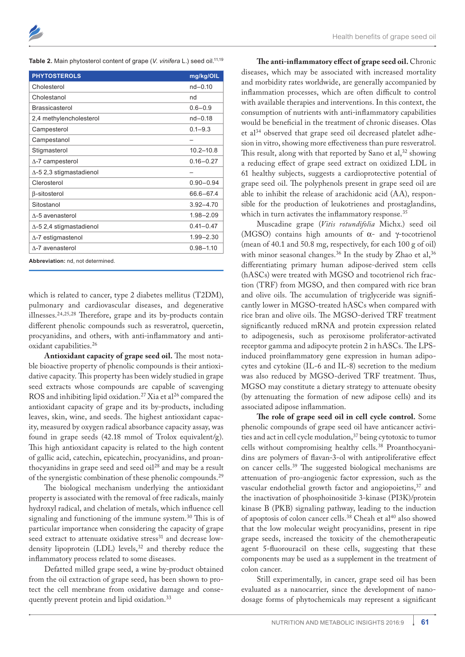| <b>PHYTOSTEROLS</b>                | mg/kg/OIL     |  |  |
|------------------------------------|---------------|--|--|
| Cholesterol                        | $nd - 0.10$   |  |  |
| Cholestanol                        | nd            |  |  |
| <b>Brassicasterol</b>              | $0.6 - 0.9$   |  |  |
| 2,4 methylencholesterol            | $nd - 0.18$   |  |  |
| Campesterol                        | $0.1 - 9.3$   |  |  |
| Campestanol                        |               |  |  |
| Stigmasterol                       | $10.2 - 10.8$ |  |  |
| $\Delta$ -7 campesterol            | $0.16 - 0.27$ |  |  |
| $\triangle$ -5 2,3 stigmastadienol |               |  |  |
| Clerosterol                        | $0.90 - 0.94$ |  |  |
| $\beta$ -sitosterol                | 66.6-67.4     |  |  |
| Sitostanol                         | $3.92 - 4.70$ |  |  |
| $\Lambda$ -5 avenasterol           | 1.98-2.09     |  |  |
| $\Delta$ -5 2,4 stigmastadienol    | $0.41 - 0.47$ |  |  |
| $\Delta$ -7 estigmastenol          | $1.99 - 2.30$ |  |  |
| $\Lambda$ -7 avenasterol           | $0.98 - 1.10$ |  |  |
| Abbreviation: nd, not determined.  |               |  |  |

which is related to cancer, type 2 diabetes mellitus (T2DM), pulmonary and cardiovascular diseases, and degenerative illnesses.24,25,28 Therefore, grape and its by-products contain different phenolic compounds such as resveratrol, quercetin, procyanidins, and others, with anti-inflammatory and antioxidant capabilities.<sup>26</sup>

**Antioxidant capacity of grape seed oil.** The most notable bioactive property of phenolic compounds is their antioxidative capacity. This property has been widely studied in grape seed extracts whose compounds are capable of scavenging ROS and inhibiting lipid oxidation.<sup>27</sup> Xia et al<sup>26</sup> compared the antioxidant capacity of grape and its by-products, including leaves, skin, wine, and seeds. The highest antioxidant capacity, measured by oxygen radical absorbance capacity assay, was found in grape seeds (42.18 mmol of Trolox equivalent/g). This high antioxidant capacity is related to the high content of gallic acid, catechin, epicatechin, procyanidins, and proanthocyanidins in grape seed and seed oil<sup>28</sup> and may be a result of the synergistic combination of these phenolic compounds.<sup>29</sup>

The biological mechanism underlying the antioxidant property is associated with the removal of free radicals, mainly hydroxyl radical, and chelation of metals, which influence cell signaling and functioning of the immune system.30 This is of particular importance when considering the capacity of grape seed extract to attenuate oxidative stress<sup>31</sup> and decrease lowdensity lipoprotein (LDL) levels,<sup>32</sup> and thereby reduce the inflammatory process related to some diseases.

Defatted milled grape seed, a wine by-product obtained from the oil extraction of grape seed, has been shown to protect the cell membrane from oxidative damage and consequently prevent protein and lipid oxidation.<sup>33</sup>

**The anti-inflammatory effect of grape seed oil.** Chronic diseases, which may be associated with increased mortality and morbidity rates worldwide, are generally accompanied by inflammation processes, which are often difficult to control with available therapies and interventions. In this context, the consumption of nutrients with anti-inflammatory capabilities would be beneficial in the treatment of chronic diseases. Olas et al34 observed that grape seed oil decreased platelet adhesion in vitro, showing more effectiveness than pure resveratrol. This result, along with that reported by Sano et al,  $32$  showing a reducing effect of grape seed extract on oxidized LDL in 61 healthy subjects, suggests a cardioprotective potential of grape seed oil. The polyphenols present in grape seed oil are able to inhibit the release of arachidonic acid (AA), responsible for the production of leukotrienes and prostaglandins, which in turn activates the inflammatory response.<sup>35</sup>

Muscadine grape (*Vitis rotundifolia* Michx.) seed oil (MGSO) contains high amounts of α- and γ-tocotrienol (mean of 40.1 and 50.8 mg, respectively, for each 100 g of oil) with minor seasonal changes.<sup>36</sup> In the study by Zhao et al,<sup>36</sup> differentiating primary human adipose-derived stem cells (hASCs) were treated with MGSO and tocotrienol rich fraction (TRF) from MGSO, and then compared with rice bran and olive oils. The accumulation of triglyceride was significantly lower in MGSO-treated hASCs when compared with rice bran and olive oils. The MGSO-derived TRF treatment significantly reduced mRNA and protein expression related to adipogenesis, such as peroxisome proliferator-activated receptor gamma and adipocyte protein 2 in hASCs. The LPSinduced proinflammatory gene expression in human adipocytes and cytokine (IL-6 and IL-8) secretion to the medium was also reduced by MGSO-derived TRF treatment. Thus, MGSO may constitute a dietary strategy to attenuate obesity (by attenuating the formation of new adipose cells) and its associated adipose inflammation.

**The role of grape seed oil in cell cycle control.** Some phenolic compounds of grape seed oil have anticancer activities and act in cell cycle modulation,<sup>37</sup> being cytotoxic to tumor cells without compromising healthy cells.38 Proanthocyanidins are polymers of flavan-3-ol with antiproliferative effect on cancer cells.39 The suggested biological mechanisms are attenuation of pro-angiogenic factor expression, such as the vascular endothelial growth factor and angiopoietins,<sup>37</sup> and the inactivation of phosphoinositide 3-kinase (PI3K)/protein kinase B (PKB) signaling pathway, leading to the induction of apoptosis of colon cancer cells.<sup>38</sup> Cheah et al<sup>40</sup> also showed that the low molecular weight procyanidins, present in ripe grape seeds, increased the toxicity of the chemotherapeutic agent 5-fluorouracil on these cells, suggesting that these components may be used as a supplement in the treatment of colon cancer.

Still experimentally, in cancer, grape seed oil has been evaluated as a nanocarrier, since the development of nanodosage forms of phytochemicals may represent a significant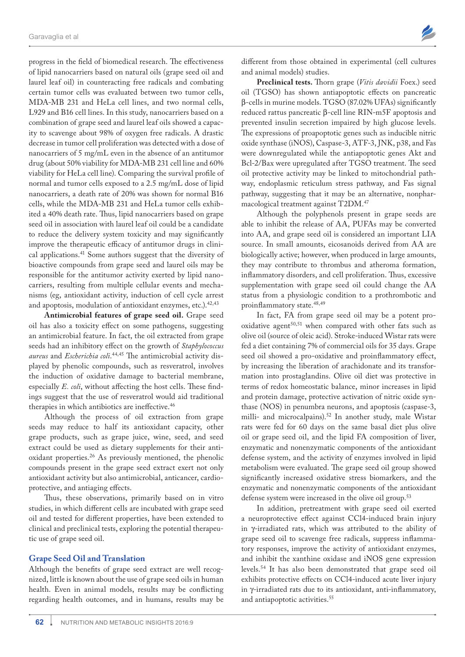progress in the field of biomedical research. The effectiveness of lipid nanocarriers based on natural oils (grape seed oil and laurel leaf oil) in counteracting free radicals and combating certain tumor cells was evaluated between two tumor cells, MDA-MB 231 and HeLa cell lines, and two normal cells, L929 and B16 cell lines. In this study, nanocarriers based on a combination of grape seed and laurel leaf oils showed a capacity to scavenge about 98% of oxygen free radicals. A drastic decrease in tumor cell proliferation was detected with a dose of nanocarriers of 5 mg/mL even in the absence of an antitumor drug (about 50% viability for MDA-MB 231 cell line and 60% viability for HeLa cell line). Comparing the survival profile of normal and tumor cells exposed to a 2.5 mg/mL dose of lipid nanocarriers, a death rate of 20% was shown for normal B16 cells, while the MDA-MB 231 and HeLa tumor cells exhibited a 40% death rate. Thus, lipid nanocarriers based on grape seed oil in association with laurel leaf oil could be a candidate to reduce the delivery system toxicity and may significantly improve the therapeutic efficacy of antitumor drugs in clinical applications.41 Some authors suggest that the diversity of bioactive compounds from grape seed and laurel oils may be responsible for the antitumor activity exerted by lipid nanocarriers, resulting from multiple cellular events and mechanisms (eg, antioxidant activity, induction of cell cycle arrest and apoptosis, modulation of antioxidant enzymes, etc.).<sup>42,43</sup>

**Antimicrobial features of grape seed oil.** Grape seed oil has also a toxicity effect on some pathogens, suggesting an antimicrobial feature. In fact, the oil extracted from grape seeds had an inhibitory effect on the growth of *Staphylococcus aureus* and *Escherichia coli*. 44,45 The antimicrobial activity displayed by phenolic compounds, such as resveratrol, involves the induction of oxidative damage to bacterial membrane, especially *E. coli*, without affecting the host cells. These findings suggest that the use of resveratrol would aid traditional therapies in which antibiotics are ineffective.<sup>46</sup>

Although the process of oil extraction from grape seeds may reduce to half its antioxidant capacity, other grape products, such as grape juice, wine, seed, and seed extract could be used as dietary supplements for their antioxidant properties.26 As previously mentioned, the phenolic compounds present in the grape seed extract exert not only antioxidant activity but also antimicrobial, anticancer, cardioprotective, and antiaging effects.

Thus, these observations, primarily based on in vitro studies, in which different cells are incubated with grape seed oil and tested for different properties, have been extended to clinical and preclinical tests, exploring the potential therapeutic use of grape seed oil.

#### **Grape Seed Oil and Translation**

Although the benefits of grape seed extract are well recognized, little is known about the use of grape seed oils in human health. Even in animal models, results may be conflicting regarding health outcomes, and in humans, results may be different from those obtained in experimental (cell cultures and animal models) studies.

**Preclinical tests.** Thorn grape (*Vitis davidii* Foex.) seed oil (TGSO) has shown antiapoptotic effects on pancreatic β-cells in murine models. TGSO (87.02% UFAs) significantly reduced rattus pancreatic β-cell line RIN-m5F apoptosis and prevented insulin secretion impaired by high glucose levels. The expressions of proapoptotic genes such as inducible nitric oxide synthase (iNOS), Caspase-3, ATF-3, JNK, p38, and Fas were downregulated while the antiapoptotic genes Akt and Bcl-2/Bax were upregulated after TGSO treatment. The seed oil protective activity may be linked to mitochondrial pathway, endoplasmic reticulum stress pathway, and Fas signal pathway, suggesting that it may be an alternative, nonpharmacological treatment against T2DM.47

Although the polyphenols present in grape seeds are able to inhibit the release of AA, PUFAs may be converted into AA, and grape seed oil is considered an important LIA source. In small amounts, eicosanoids derived from AA are biologically active; however, when produced in large amounts, they may contribute to thrombus and atheroma formation, inflammatory disorders, and cell proliferation. Thus, excessive supplementation with grape seed oil could change the AA status from a physiologic condition to a prothrombotic and proinflammatory state.48,49

In fact, FA from grape seed oil may be a potent prooxidative agent<sup>50,51</sup> when compared with other fats such as olive oil (source of oleic acid). Stroke-induced Wistar rats were fed a diet containing 7% of commercial oils for 35 days. Grape seed oil showed a pro-oxidative and proinflammatory effect, by increasing the liberation of arachidonate and its transformation into prostaglandins. Olive oil diet was protective in terms of redox homeostatic balance, minor increases in lipid and protein damage, protective activation of nitric oxide synthase (NOS) in penumbra neurons, and apoptosis (caspase-3, milli- and microcalpains).<sup>52</sup> In another study, male Wistar rats were fed for 60 days on the same basal diet plus olive oil or grape seed oil, and the lipid FA composition of liver, enzymatic and nonenzymatic components of the antioxidant defense system, and the activity of enzymes involved in lipid metabolism were evaluated. The grape seed oil group showed significantly increased oxidative stress biomarkers, and the enzymatic and nonenzymatic components of the antioxidant defense system were increased in the olive oil group.<sup>53</sup>

In addition, pretreatment with grape seed oil exerted a neuroprotective effect against CCl4-induced brain injury in γ-irradiated rats, which was attributed to the ability of grape seed oil to scavenge free radicals, suppress inflammatory responses, improve the activity of antioxidant enzymes, and inhibit the xanthine oxidase and iNOS gene expression levels.54 It has also been demonstrated that grape seed oil exhibits protective effects on CCl4-induced acute liver injury in γ-irradiated rats due to its antioxidant, anti-inflammatory, and antiapoptotic activities.<sup>55</sup>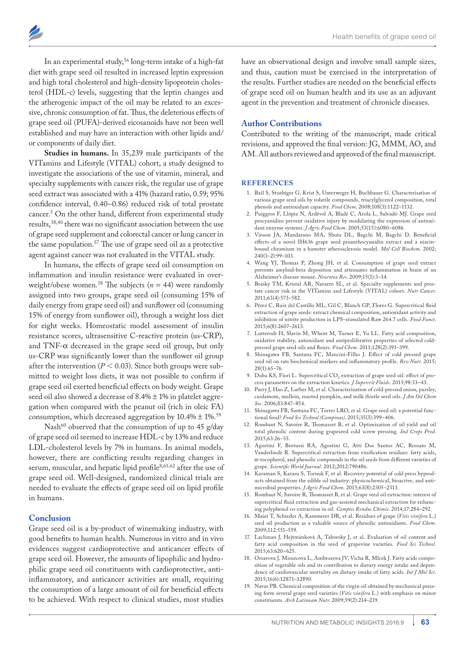In an experimental study,<sup>56</sup> long-term intake of a high-fat diet with grape seed oil resulted in increased leptin expression and high total cholesterol and high-density lipoprotein cholesterol (HDL-c) levels, suggesting that the leptin changes and the atherogenic impact of the oil may be related to an excessive, chronic consumption of fat. Thus, the deleterious effects of grape seed oil (PUFA)-derived eicosanoids have not been well established and may have an interaction with other lipids and/

or components of daily diet. **Studies in humans.** In 35,239 male participants of the VITamins and Lifestyle (VITAL) cohort, a study designed to investigate the associations of the use of vitamin, mineral, and specialty supplements with cancer risk, the regular use of grape seed extract was associated with a 41% (hazard ratio, 0.59; 95% confidence interval, 0.40–0.86) reduced risk of total prostate cancer.5 On the other hand, different from experimental study results,<sup>38,40</sup> there was no significant association between the use of grape seed supplement and colorectal cancer or lung cancer in the same population.57 The use of grape seed oil as a protective agent against cancer was not evaluated in the VITAL study.

In humans, the effects of grape seed oil consumption on inflammation and insulin resistance were evaluated in overweight/obese women.<sup>58</sup> The subjects  $(n = 44)$  were randomly assigned into two groups, grape seed oil (consuming 15% of daily energy from grape seed oil) and sunflower oil (consuming 15% of energy from sunflower oil), through a weight loss diet for eight weeks. Homeostatic model assessment of insulin resistance scores, ultrasensitive C-reactive protein (us-CRP), and  $TNF-\alpha$  decreased in the grape seed oil group, but only us-CRP was significantly lower than the sunflower oil group after the intervention ( $P < 0.03$ ). Since both groups were submitted to weight loss diets, it was not possible to confirm if grape seed oil exerted beneficial effects on body weight. Grape seed oil also showed a decrease of 8.4% ± 1% in platelet aggregation when compared with the peanut oil (rich in oleic FA) consumption, which decreased aggregation by  $10.4\% \pm 1\%$ .<sup>59</sup>

Nash<sup>60</sup> observed that the consumption of up to 45 g/day of grape seed oil seemed to increase HDL-c by 13% and reduce LDL-cholesterol levels by 7% in humans. In animal models, however, there are conflicting results regarding changes in serum, muscular, and hepatic lipid profile<sup>8,61,62</sup> after the use of grape seed oil. Well-designed, randomized clinical trials are needed to evaluate the effects of grape seed oil on lipid profile in humans.

## **Conclusion**

Grape seed oil is a by-product of winemaking industry, with good benefits to human health. Numerous in vitro and in vivo evidences suggest cardioprotective and anticancer effects of grape seed oil. However, the amounts of lipophilic and hydrophilic grape seed oil constituents with cardioprotective, antiinflammatory, and anticancer activities are small, requiring the consumption of a large amount of oil for beneficial effects to be achieved. With respect to clinical studies, most studies

have an observational design and involve small sample sizes, and thus, caution must be exercised in the interpretation of the results. Further studies are needed on the beneficial effects of grape seed oil on human health and its use as an adjuvant agent in the prevention and treatment of chronicle diseases.

# **Author Contributions**

Contributed to the writing of the manuscript, made critical revisions, and approved the final version: JG, MMM, AO, and AM. All authors reviewed and approved of the final manuscript.

#### **REFERENCES**

- 1. Bail S, Stuebiger G, Krist S, Unterweger H, Buchbauer G. Characterisation of various grape seed oils by volatile compounds, triacylglycerol composition, total phenols and antioxidant capacity. *Food Chem*. 2008;108(3):1122–1132.
- 2. Puiggros F, Llópiz N, Ardévol A, Bladé C, Arola L, Salvadó MJ. Grape seed procyanidins prevent oxidative injury by modulating the expression of antioxidant enzyme systems. *J Agric Food Chem*. 2005;53(15):6080–6086.
- 3. Vinson JA, Mandarano MA, Shuta DL, Bagchi M, Bagchi D. Beneficial effects of a novel IH636 grape seed proanthocyanidin extract and a niacinbound chromium in a hamster atherosclerosis model. *Mol Cell Biochem*. 2002; 240(1–2):99–103.
- 4. Wang YJ, Thomas P, Zhong JH, et al. Consumption of grape seed extract prevents amyloid-beta deposition and attenuates inflammation in brain of an Alzheimer's disease mouse. *Neurotox Res*. 2009;15(1):3–14.
- 5. Brasky TM, Kristal AR, Navarro SL, et al. Specialty supplements and prostate cancer risk in the VITamins and Lifestyle (VITAL) cohort. *Nutr Cancer*. 2011;63(4):573–582.
- 6. Pérez C, Ruiz del Castillo ML, Gil C, Blanch GP, Flores G. Supercritical fluid extraction of grape seeds: extract chemical composition, antioxidant activity and inhibition of nitrite production in LPS-stimulated Raw 264.7 cells. *Food Funct*. 2015;6(8):2607–2613.
- 7. Lutterodt H, Slavin M, Whent M, Turner E, Yu LL. Fatty acid composition, oxidative stability, antioxidant and antiproliferative properties of selected coldpressed grape seed oils and flours. *Food Chem*. 2011;128(2):391–399.
- 8. Shinagawa FB, Santana FC, Mancini-Filho J. Effect of cold pressed grape seed oil on rats biochemical markers and inflammatory profile. *Rev Nutr*. 2015; 28(1):65–76.
- 9. Duba KS, Fiori L. Supercritical  $\text{CO}_2$  extraction of grape seed oil: effect of process parameters on the extraction kinetics. *J Supercrit Fluids*. 2015;98:33–43.
- 10. Parry J, Hao Z, Luther M, et al. Characterization of cold-pressed onion, parsley, cardamom, mullein, roasted pumpkin, and milk thistle seed oils. *J Am Oil Chem Soc*. 2006;83:847–854.
- 11. Shinagawa FB, Santana FC, Torres LRO, et al. Grape seed oil: a potential functional food? *Food Sci Technol (Campinas)*. 2015;35(3):399–406.
- 12. Rombaut N, Savoire R, Thomasset B, et al. Optimization of oil yield and oil total phenolic content during grapeseed cold screw pressing. *Ind Crops Prod*. 2015;63:26–33.
- 13. Agostini F, Bertussi RA, Agostini G, Atti Dos Santos AC, Rossato M, Vanderlinde R. Supercritical extraction from vinification residues: fatty acids, α-tocopherol, and phenolic compounds in the oil seeds from different varieties of grape. *Scientific World Journal*. 2012;2012:790486.
- 14. Karaman S, Karasu S, Tornuk F, et al. Recovery potential of cold press byproducts obtained from the edible oil industry: physicochemical, bioactive, and antimicrobial properties. *J Agric Food Chem*. 2015;63(8):2305–2313.
- 15. Rombaut N, Savoire R, Thomasset B, et al. Grape seed oil extraction: interest of supercritical fluid extraction and gas-assisted mechanical extraction for enhancing polyphenol co-extraction in oil. *Comptes Rendus Chimie*. 2014;17:284–292.
- 16. Maier T, Schieder A, Kammerer DR, et al. Residues of grape (*Vitis vinifera* L.) seed oil production as a valuable source of phenolic antioxidants. *Food Chem*. 2009;112:551–559.
- 17. Lachman J, Hejtmánková A, Taborsky J, et al. Evaluation of oil content and fatty acid composition in the seed of grapevine varieties. *Food Sci Technol*. 2015;63:620–625.
- 18. Orsavova J, Misurcova L, Ambrozova JV, Vicha R, Mlcek J. Fatty acids composition of vegetable oils and its contribution to dietary energy intake and dependence of cardiovascular mortality on dietary intake of fatty acids. *Int J Mol Sci*. 2015;16(6):12871–12890.
- 19. Navas PB. Chemical composition of the virgin oil obtained by mechanical pressing form several grape seed varieties (*Vitis vinifera* L.) with emphasis on minor constituents. *Arch Latinoam Nutr*. 2009;59(2):214–219.